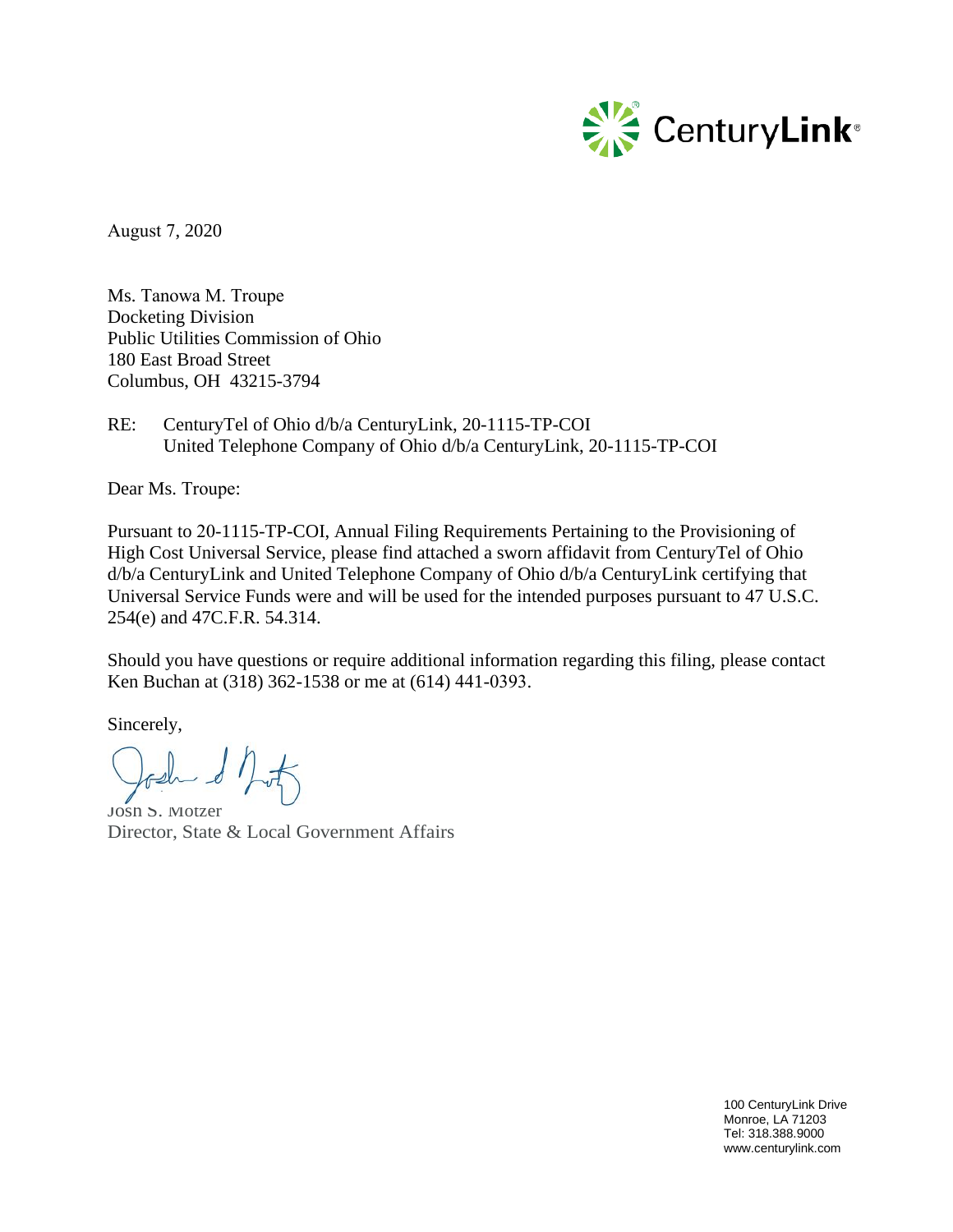

August 7, 2020

Ms. Tanowa M. Troupe Docketing Division Public Utilities Commission of Ohio 180 East Broad Street Columbus, OH 43215-3794

RE: CenturyTel of Ohio d/b/a CenturyLink, 20-1115-TP-COI United Telephone Company of Ohio d/b/a CenturyLink, 20-1115-TP-COI

Dear Ms. Troupe:

Pursuant to 20-1115-TP-COI, Annual Filing Requirements Pertaining to the Provisioning of High Cost Universal Service, please find attached a sworn affidavit from CenturyTel of Ohio d/b/a CenturyLink and United Telephone Company of Ohio d/b/a CenturyLink certifying that Universal Service Funds were and will be used for the intended purposes pursuant to 47 U.S.C. 254(e) and 47C.F.R. 54.314.

Should you have questions or require additional information regarding this filing, please contact Ken Buchan at (318) 362-1538 or me at (614) 441-0393.

Sincerely,

bash & book

Josh S. Motzer Director, State & Local Government Affairs

100 CenturyLink Drive Monroe, LA 71203 Tel: 318.388.9000 www.centurylink.com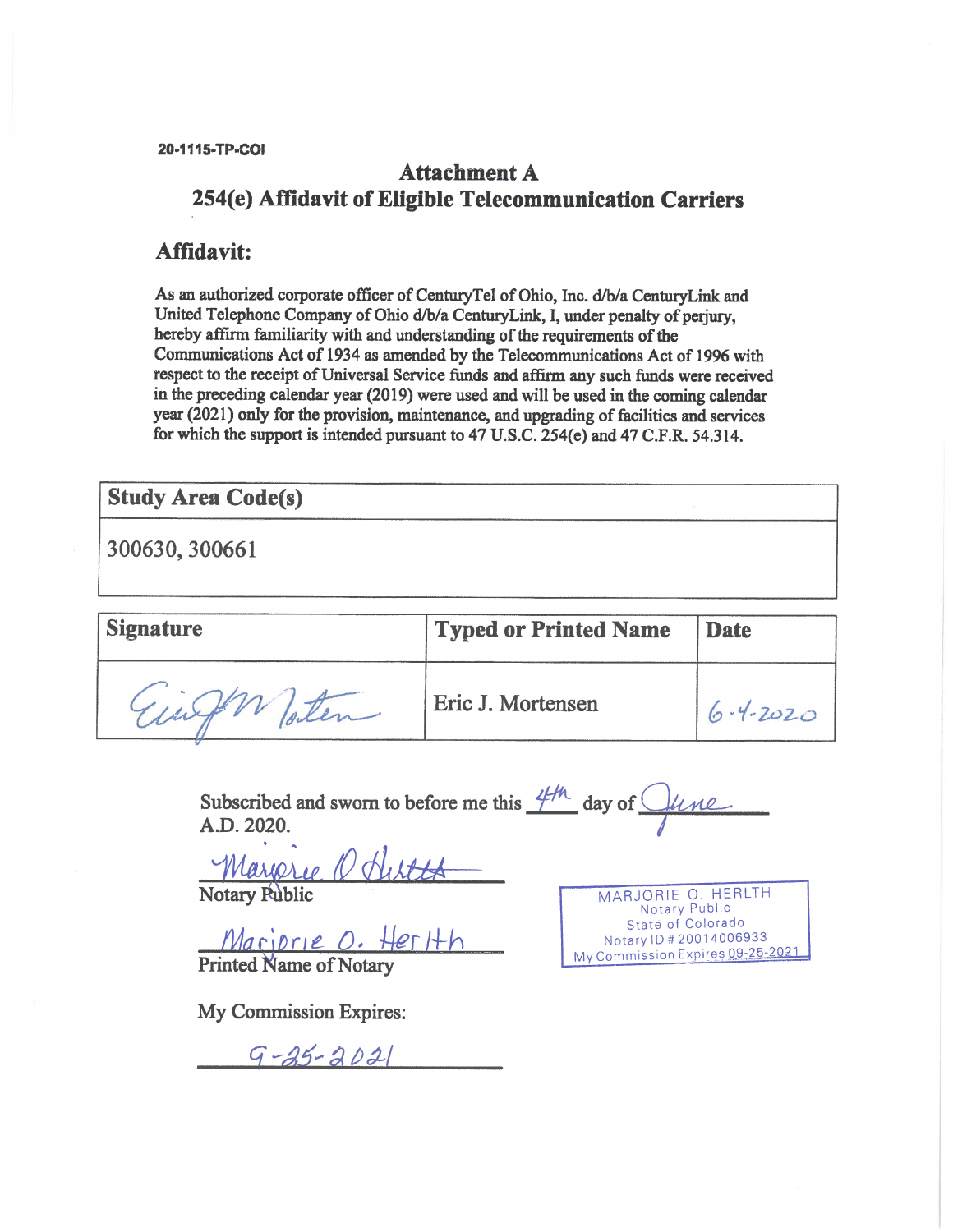20-1115-TP-COI

## **Attachment A** 254(e) Affidavit of Eligible Telecommunication Carriers

## Affidavit:

As an authorized corporate officer of CenturyTel of Ohio, Inc. d/b/a CenturyLink and United Telephone Company of Ohio d/b/a CenturyLink, I, under penalty of perjury, hereby affirm familiarity with and understanding of the requirements of the Communications Act of 1934 as amended by the Telecommunications Act of 1996 with respect to the receipt of Universal Service funds and affirm any such funds were received in the preceding calendar year (2019) were used and will be used in the coming calendar year (2021) only for the provision, maintenance, and upgrading of facilities and services for which the support is intended pursuant to 47 U.S.C. 254(e) and 47 C.F.R. 54.314.

## **Study Area Code(s)**

300630, 300661

| <b>Signature</b> | <b>Typed or Printed Name</b> | Date           |
|------------------|------------------------------|----------------|
| Europh Poten     | Eric J. Mortensen            | $6 - 4 - 2020$ |

Subscribed and sworn to before me this  $4/h$  day of  $\bigcirc$ fune A.D. 2020.

Margree O Hutte

Mariorie O. Herlth

My Commission Expires:

 $9 - 25 - 2021$ 

MARJORIE O. HERLTH Notary Public State of Colorado Notary ID # 20014006933 My Commission Expires 09-25-2021